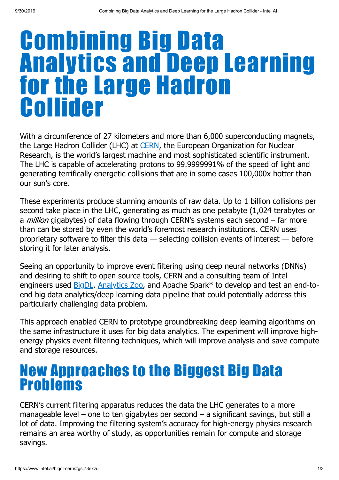# Combining Big Data Analytics and Deep Learning for the Large Hadron Collider

With a circumference of 27 kilometers and more than 6,000 superconducting magnets, the Large Hadron Collider (LHC) at [CERN,](https://home.cern/) the European Organization for Nuclear Research, is the world's largest machine and most sophisticated scientific instrument. The LHC is capable of accelerating protons to 99.9999991% of the speed of light and generating terrifically energetic collisions that are in some cases 100,000x hotter than our sun's core.

These experiments produce stunning amounts of raw data. Up to 1 billion collisions per second take place in the LHC, generating as much as one petabyte (1,024 terabytes or a *million* gigabytes) of data flowing through CERN's systems each second – far more than can be stored by even the world's foremost research institutions. CERN uses proprietary software to filter this data — selecting collision events of interest — before storing it for later analysis.

Seeing an opportunity to improve event filtering using deep neural networks (DNNs) and desiring to shift to open source tools, CERN and a consulting team of Intel engineers used [BigDL,](https://software.intel.com/en-us/ai/frameworks/bigdl) [Analytics Zoo](https://software.intel.com/en-us/blogs/2018/09/10/analytics-zoo-unifying-analytics-ai-for-apache-spark), and Apache Spark\* to develop and test an end-toend big data analytics/deep learning data pipeline that could potentially address this particularly challenging data problem.

This approach enabled CERN to prototype groundbreaking deep learning algorithms on the same infrastructure it uses for big data analytics. The experiment will improve highenergy physics event filtering techniques, which will improve analysis and save compute and storage resources.

#### New Approaches to the Biggest Big Data Problems

CERN's current filtering apparatus reduces the data the LHC generates to a more manageable level – one to ten gigabytes per second – a significant savings, but still a lot of data. Improving the filtering system's accuracy for high-energy physics research remains an area worthy of study, as opportunities remain for compute and storage savings.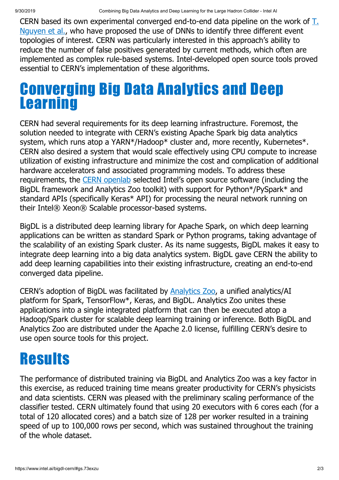[CERN based its own experimental converged end-to-end data pipeline on the work of](https://arxiv.org/abs/1807.00083) T. Nguyen et al., who have proposed the use of DNNs to identify three different event topologies of interest. CERN was particularly interested in this approach's ability to reduce the number of false positives generated by current methods, which often are implemented as complex rule-based systems. Intel-developed open source tools proved essential to CERN's implementation of these algorithms.

#### Converging Big Data Analytics and Deep **Learning**

CERN had several requirements for its deep learning infrastructure. Foremost, the solution needed to integrate with CERN's existing Apache Spark big data analytics system, which runs atop a YARN\*/Hadoop\* cluster and, more recently, Kubernetes\*. CERN also desired a system that would scale effectively using CPU compute to increase utilization of existing infrastructure and minimize the cost and complication of additional hardware accelerators and associated programming models. To address these requirements, the [CERN openlab](https://openlab.cern/) selected Intel's open source software (including the BigDL framework and Analytics Zoo toolkit) with support for Python\*/PySpark\* and standard APIs (specifically Keras\* API) for processing the neural network running on their Intel® Xeon® Scalable processor-based systems.

BigDL is a distributed deep learning library for Apache Spark, on which deep learning applications can be written as standard Spark or Python programs, taking advantage of the scalability of an existing Spark cluster. As its name suggests, BigDL makes it easy to integrate deep learning into a big data analytics system. BigDL gave CERN the ability to add deep learning capabilities into their existing infrastructure, creating an end-to-end converged data pipeline.

CERN's adoption of BigDL was facilitated by **[Analytics Zoo](https://analytics-zoo.github.io/0.5.0/)**, a unified analytics/AI platform for Spark, TensorFlow\*, Keras, and BigDL. Analytics Zoo unites these applications into a single integrated platform that can then be executed atop a Hadoop/Spark cluster for scalable deep learning training or inference. Both BigDL and Analytics Zoo are distributed under the Apache 2.0 license, fulfilling CERN's desire to use open source tools for this project.

## **Results**

The performance of distributed training via BigDL and Analytics Zoo was a key factor in this exercise, as reduced training time means greater productivity for CERN's physicists and data scientists. CERN was pleased with the preliminary scaling performance of the classifier tested. CERN ultimately found that using 20 executors with 6 cores each (for a total of 120 allocated cores) and a batch size of 128 per worker resulted in a training speed of up to 100,000 rows per second, which was sustained throughout the training of the whole dataset.